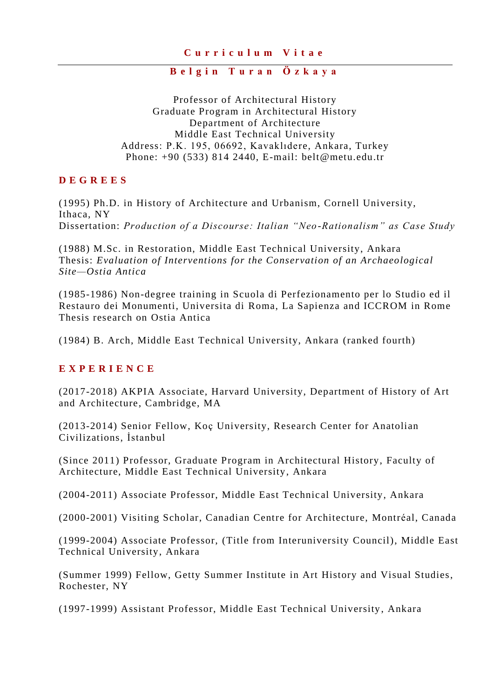#### **B e l g i n T u r a n Ö z k a y a**

Professor of Architectural History Graduate Program in Architectural History Department of Architecture Middle East Technical University Address: P.K. 195, 06692, Kavaklıdere, Ankara, Turkey Phone: +90 (533) 814 2440, E-mail: belt@metu.edu.tr

#### **D E G R E E S**

(1995) Ph.D. in History of Architecture and Urbanism, Cornell University, Ithaca, NY Dissertation: *Production of a Discourse: Italian "Neo -Rationalism" as Case Study*

(1988) M.Sc. in Restoration, Middle East Technical University, Ankara Thesis: *Evaluation of Interventions for the Conservation of an Archaeological Site—Ostia Antica*

(1985-1986) Non-degree training in Scuola di Perfezionamento per lo Studio ed il Restauro dei Monumenti, Universita di Roma, La Sapienza and ICCROM in Rome Thesis research on Ostia Antica

(1984) B. Arch, Middle East Technical University, Ankara (ranked fourth)

#### **E X P E R I E N C E**

(2017-2018) AKPIA Associate, Harvard University, Department of History of Art and Architecture, Cambridge, MA

(2013-2014) Senior Fellow, Koç University, Research Center for Anatolian Civilizations, İstanbul

(Since 2011) Professor, Graduate Program in Architectural History, Faculty of Architecture, Middle East Technical University, Ankara

(2004-2011) Associate Professor, Middle East Technic al University, Ankara

(2000-2001) Visiting Scholar, Canadian Centre for Architecture, Montréal, Canada

(1999-2004) Associate Professor, (Title from Interuniversity Council), Middle East Technical University, Ankara

(Summer 1999) Fellow, Getty Summer Institute in Art History and Visual Studies, Rochester, NY

(1997-1999) Assistant Professor, Middle East Technical University , Ankara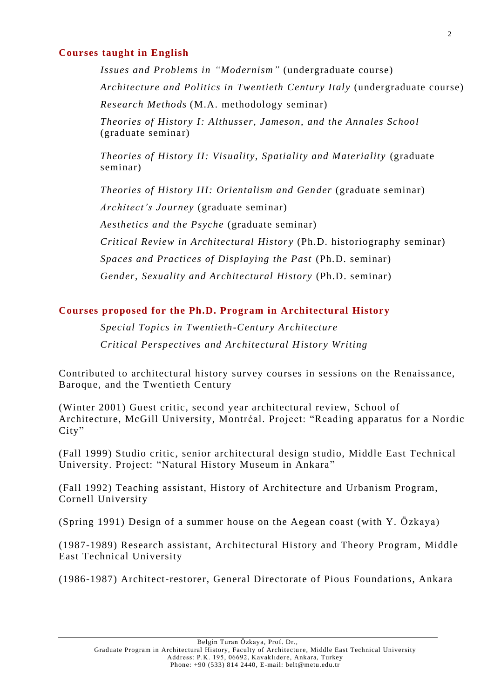#### **Courses taught in English**

*Issues and Problems in "Modernism"* (undergraduate course) *Architecture and Politics in Twentieth Century Italy* (undergraduate course) *Research Methods* (M.A. methodology seminar)

*Theories of History I: Althusser, Jameson, and the Annales School* (graduate seminar)

*Theories of History II: Visuality, Spatiality and Materiality* (graduate seminar)

*Theories of History III: Orientalism and Gender* (graduate seminar) *Architect's Journey* (graduate seminar) *Aesthetics and the Psyche* (graduate seminar) *Critical Review in Architectural Histor y* (Ph.D. historiography seminar)

*Spaces and Practices of Displaying the Past* (Ph.D. seminar)

*Gender, Sexuality and Architectural History* (Ph.D. seminar)

## **Courses proposed for the Ph.D. Program in Architectural History**

*Special Topics in Twentieth-Century Architecture Critical Perspectives and Architectural History Writing*

Contributed to architectural history survey courses in sessions on the Renaissance, Baroque, and the Twentieth Century

(Winter 2001) Guest critic, second year architectural review, School of Architecture, McGill University, Montréal. Project: "Reading apparatus for a Nordic City"

(Fall 1999) Studio critic, senior architectural design studio, Middle East Technical University. Project: "Natural History Museum in Ankara "

(Fall 1992) Teaching assistant, History of Architecture and Urbanism Program, Cornell University

(Spring 1991) Design of a summer house on the Aegean coast (with Y. Özkaya)

(1987-1989) Research assistant, Architectural History and Theory Program, Middle East Technical University

(1986-1987) Architect-restorer, General Directorate of Pious Foundations, Ankara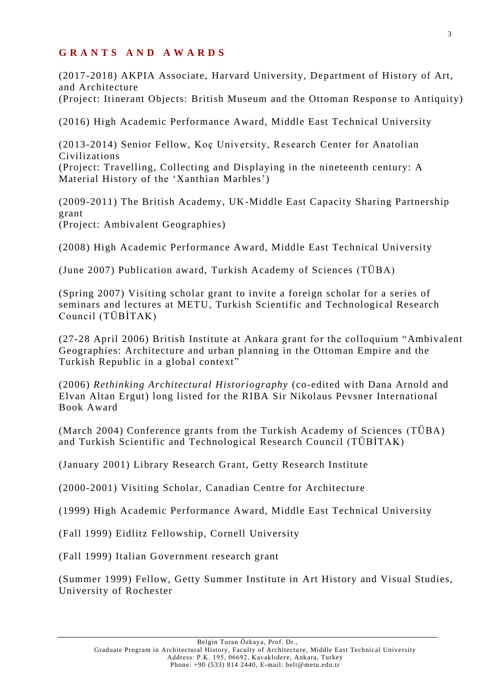### **G R A N T S A N D A W A R D S**

(2017-2018) AKPIA Associate, Harvard University, Department of History of Art, and Architecture

(Project: Itinerant Objects: British Museum and the Ottoman Response to Antiquity)

(2016) High Academic Performance Award, Middle East Technical University

(2013-2014) Senior Fellow, Koç University, Research Center for Anatolian Civilizations (Project: Travelling, Collecting and Displaying in the nineteenth century: A Material History of the 'Xanthian Marbles')

(2009-2011) The British Academy, UK-Middle East Capacity Sharing Partnership grant (Project: Ambivalent Geographies)

(2008) High Academic Performance Award, Middle East Technical University

(June 2007) Publication award, Turkish Academy of Sciences (TÜBA)

(Spring 2007) Visiting scholar grant to invite a foreign scholar for a series of seminars and lectures at METU, Turkish Scientific and Technological Research Council (TÜBİTAK)

(27-28 April 2006) British Institute at Ankara grant for the colloquium "Ambivalent Geographies: Architecture and urban planning in the Ottoman Empire and the Turkish Republic in a global context"

(2006) *Rethinking Architectural Historiography* (co-edited with Dana Arnold and Elvan Altan Ergut) long listed for the RIBA Sir Nikolaus Pevsner International Book Award

(March 2004) Conference grants from the Turkish Academy of Sciences (TÜBA) and Turkish Scientific and Technological Research Council (TÜBİTAK)

(January 2001) Library Research Grant, Getty Research Institute

(2000-2001) Visiting Scholar, Canadian Centre for Architecture

(1999) High Academic Performance Award, Middle East Technical University

(Fall 1999) Eidlitz Fellowship, Cornell University

(Fall 1999) Italian Government research grant

(Summer 1999) Fellow, Getty Summer Institute in Art History and Visual Studies, University of Rochester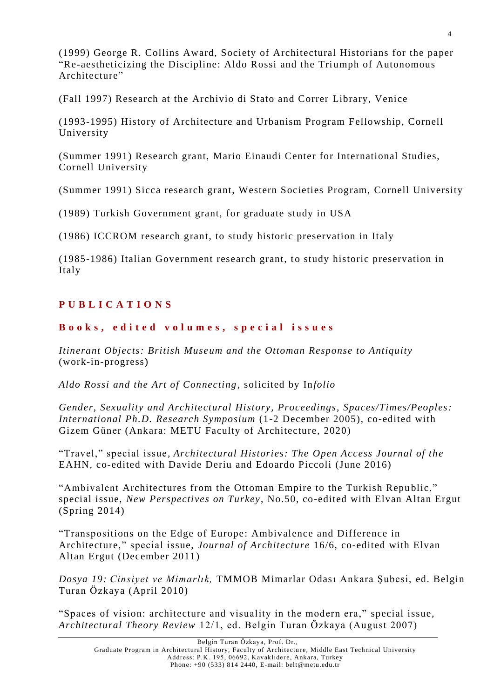(1999) George R. Collins Award, Society of Architectural Historians for the paper "Re-aestheticizing the Discipline: Aldo Rossi and the Triumph of Autonomous Architecture"

(Fall 1997) Research at the Archivio di Stato and Correr Library, Venice

(1993-1995) History of Architecture and Urbanism Program Fellowship, Cornell University

(Summer 1991) Research grant, Mario Einaudi Center for International Studies, Cornell University

(Summer 1991) Sicca research grant, Western Societies Program, Cornell University

(1989) Turkish Government grant, for graduate study in USA

(1986) ICCROM research grant, to study historic preservation in Italy

(1985-1986) Italian Government research grant, to study historic preservation in Italy

# **P U B L I C A T I O N S**

## **B o o k s , e d i t e d v o l u m e s , s p e c i a l i s s u e s**

*Itinerant Objects: British Museum and the Ottoman Response to Antiquity* (work-in-progress)

*Aldo Rossi and the Art of Connecting*, solicited by In*folio*

*Gender, Sexuality and Architectural History, Proceedings, Spaces/Times/Peoples: International Ph.D. Research Symposium* (1-2 December 2005), co-edited with Gizem Güner (Ankara: METU Faculty of Architecture, 2020)

"Travel," special issue*, Architectural Histories: The Open Access Journal of the* EAHN, co-edited with Davide Deriu and Edoardo Piccoli (June 2016)

"Ambivalent Architectures from the Ottoman Empire to the Turkish Republic," special issue, *New Perspectives on Turkey*, No.50, co-edited with Elvan Altan Ergut (Spring 2014)

"Transpositions on the Edge of Europe: Ambivalence and Difference in Architecture," special issue, *Journal of Architecture* 16/6, co-edited with Elvan Altan Ergut (December 2011)

*Dosya 19: Cinsiyet ve Mimarlık,* TMMOB Mimarlar Odası Ankara Şubesi, ed. Belgin Turan Özkaya (April 2010)

"Spaces of vision: architecture and visuality in the modern era," special issue, *Architectural Theory Review* 12/1, ed. Belgin Turan Özkaya (August 2007)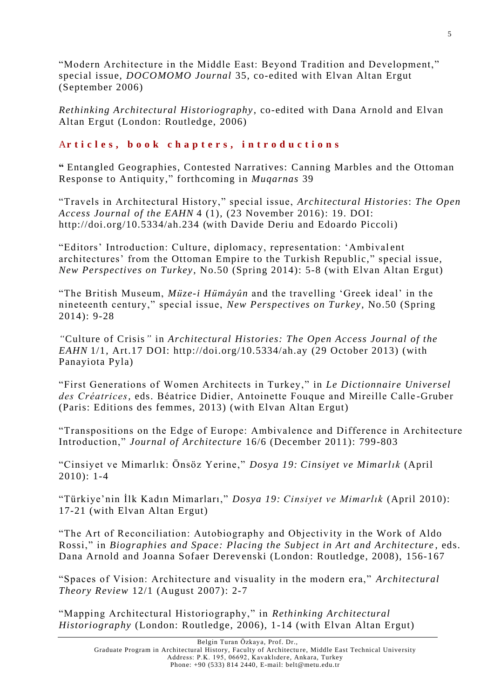"Modern Architecture in the Middle East: Beyond Tradition and Development," special issue, *DOCOMOMO Journal* 35, co-edited with Elvan Altan Ergut (September 2006)

*Rethinking Architectural Historiography* , co-edited with Dana Arnold and Elvan Altan Ergut (London: Routledge, 2006)

# Articles, book chapters, introductions

**"** Entangled Geographies, Contested Narratives: Canning Marbles and the Ottoman Response to Antiquity," forthcoming in *Muqarnas* 39

"Travels in Architectural History," special issue, *Architectural Histories*: *The Open Access Journal of the EAHN* 4 (1), (23 November 2016): 19. DOI: http://doi.org/10.5334/ah.234 (with Davide Deriu and Edoardo Piccoli)

"Editors' Introduction: Culture, diplomacy, representation: 'Ambival ent architectures' from the Ottoman Empire to the Turkish Republic," special issue, *New Perspectives on Turkey*, No.50 (Spring 2014): 5-8 (with Elvan Altan Ergut)

"The British Museum, *Müze-i Hümâyûn* and the travelling 'Greek ideal' in the nineteenth century," special issue, *New Perspectives on Turkey*, No.50 (Spring 2014): 9-28

*"*Culture of Crisis*"* in *Architectural Histories: The Open Access Journal of the EAHN* 1/1, Art.17 DOI: http://doi.org/10.5334/ah.ay (29 October 2013) (with Panayiota Pyla)

"First Generations of Women Architects in Turkey," in *Le Dictionnaire Universel des Créatrices,* eds. Béatrice Didier, Antoinette Fouque and Mireille Calle -Gruber (Paris: Editions des femmes, 2013) (with Elvan Altan Ergut)

"Transpositions on the Edge of Europe: Ambivalence and Difference in Architecture Introduction," *Journal of Architecture* 16/6 (December 2011): 799-803

"Cinsiyet ve Mimarlık: Önsöz Yerine," *Dosya 19: Cinsiyet ve Mimarlık* (April 2010): 1-4

"Türkiye'nin İlk Kadın Mimarları," *Dosya 19: Cinsiyet ve Mimarlık* (April 2010): 17-21 (with Elvan Altan Ergut)

"The Art of Reconciliation: Autobiography and Objectiv ity in the Work of Aldo Rossi," in *Biographies and Space: Placing the Subject in Art and Architecture* , eds. Dana Arnold and Joanna Sofaer Derev enski (London: Routledge, 2008), 156-167

"Spaces of Vision: Architecture and visuality in the modern era," *Architectural Theory Review* 12/1 (August 2007): 2-7

"Mapping Architectural Historiography," in *Rethinking Architectural Historiography* (London: Routledge, 2006), 1-14 (with Elvan Altan Ergut)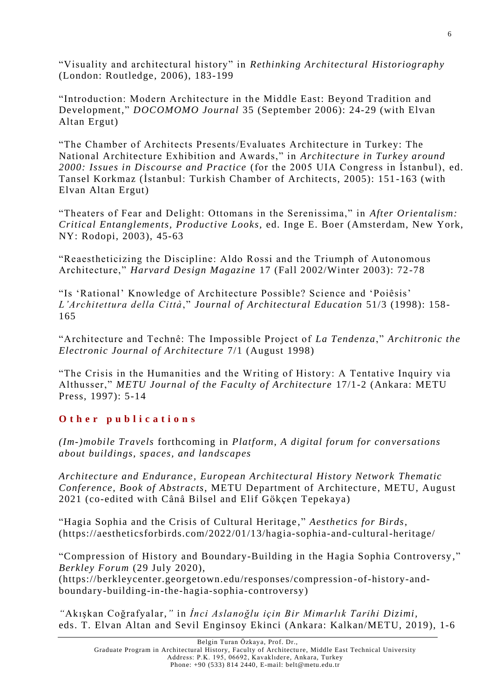"Visuality and architectural history" in *Rethinking Architectural Historiography* (London: Routledge, 2006), 183-199

"Introduction: Modern Architecture in the Middle East: Beyond Tradition and Development," *DOCOMOMO Journal* 35 (September 2006): 24-29 (with Elvan Altan Ergut)

"The Chamber of Architects Presents/Evaluates Architecture in Turkey: The National Architecture Exhibition and Awards," in *Architecture in Turkey around 2000: Issues in Discourse and Practice* (for the 2005 UIA Congress in İstanbul), ed. Tansel Korkmaz (İstanbul: Turkish Chamber of Architects, 2005): 151-163 (with Elvan Altan Ergut)

"Theaters of Fear and Delight: Ottomans in the Serenissima," in *After Orientalism: Critical Entanglements, Productive Looks,* ed. Inge E. Boer (Amsterdam, New York, NY: Rodopi, 2003), 45-63

"Reaestheticizing the Discipline: Aldo Rossi and the Triumph of Autonomous Architecture," *Harvard Design Magazine* 17 (Fall 2002/Winter 2003): 72-78

"Is 'Rational' Knowledge of Architecture Possible? Science and 'Poiêsis' *L'Architettura della Città*," *Journal of Architectural Education* 51/3 (1998): 158- 165

"Architecture and Technê: The Impossible Project of *La Tendenza*," *Architronic the Electronic Journal of Architecture* 7/1 (August 1998)

"The Crisis in the Humanities and the Writing of History: A Tentative Inquiry via Althusser," *METU Journal of the Faculty of Architecture* 17/1-2 (Ankara: METU Press, 1997): 5-14

### **O t h e r p u b l i c a t i o n s**

*(Im-)mobile Travels* forthcoming in *Platform*, *A digital forum for conversations about buildings, spaces, and landscapes* 

*Architecture and Endurance, European Architectural History Network Thematic Conference, Book of Abstracts*, METU Department of Architecture, METU, August 2021 (co-edited with Cânâ Bilsel and Elif Gökçen Tepekaya)

"Hagia Sophia and the Crisis of Cultural Heritage ," *Aesthetics for Birds*, (https://aestheticsforbirds.com/2022/01/13/hagia-sophia-and-cultural-heritage/

"Compression of History and Boundary-Building in the Hagia Sophia Controversy ," *Berkley Forum* (29 July 2020),

(https://berkleycenter.georgetown.edu/responses/compression -of-history-andboundary-building-in-the-hagia-sophia-controversy)

*"*Akışkan Coğrafyalar,*"* in *İnci Aslanoğlu için Bir Mimarlık Tarihi Dizimi,* eds. T. Elvan Altan and Sevil Enginsoy Ekinci (Ankara: Kalkan/METU, 2019), 1-6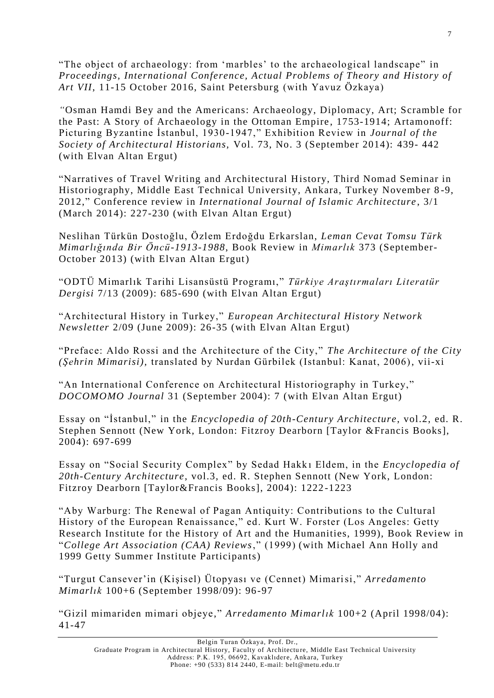"The object of archaeology: from 'marbles' to the archaeological landscape" in *Proceedings, International Conference, Actual Problems of Theory and History of Art VII*, 11-15 October 2016, Saint Petersburg (with Yavuz Özkaya)

*"*Osman Hamdi Bey and the Americans: Archaeology, Diplomacy, Art; Scramble for the Past: A Story of Archaeology in the Ottoman Empire, 1753-1914; Artamonoff: Picturing Byzantine İstanbul, 1930 -1947," Exhibition Review in *Journal of the Society of Architectural Historians,* Vol. 73, No. 3 (September 2014): 439- 442 (with Elvan Altan Ergut)

"Narratives of Travel Writing and Architectural History, Third Nomad Seminar in Historiography, Middle East Technical University, Ankara, Turkey November 8 -9, 2012," Conference review in *International Journal of Islamic Architecture* , 3/1 (March 2014): 227-230 (with Elvan Altan Ergut)

Neslihan Türkün Dostoğlu, Özlem Erdoğdu Erkarslan, *Leman Cevat Tomsu Türk Mimarlığında Bir Öncü-1913-1988*, Book Review in *Mimarlık* 373 (September-October 2013) (with Elvan Altan Ergut)

"ODTÜ Mimarlık Tarihi Lisansüstü Programı," *Türkiye Araştırmaları Literatür Dergisi* 7/13 (2009): 685-690 (with Elvan Altan Ergut)

"Architectural History in Turkey," *European Architectural History Network Newsletter* 2/09 (June 2009): 26-35 (with Elvan Altan Ergut)

"Preface: Aldo Rossi and the Architecture of the City," *The Architecture of the City (Şehrin Mimarisi),* translated by Nurdan Gürbilek (Istanbul: Kanat, 2006), vii-xi

"An International Conference on Architectural Historiography in Turkey," *DOCOMOMO Journal* 31 (September 2004): 7 (with Elvan Altan Ergut)

Essay on "İstanbul," in the *Encyclopedia of 20th-Century Architecture*, vol.2, ed. R. Stephen Sennott (New York, London: Fitzroy Dearborn [Taylor &Francis Books], 2004): 697-699

Essay on "Social Security Complex" by Sedad Hakk ı Eldem, in the *Encyclopedia of 20th-Century Architecture*, vol.3, ed. R. Stephen Sennott (New York, London: Fitzroy Dearborn [Taylor&Francis Books], 2004): 1222 -1223

"Aby Warburg: The Renewal of Pagan Antiquity: Contributions to the Cultural History of the European Renaissance," ed. Kurt W. Forster (Los Angeles: Getty Research Institute for the History of Art and the Humanities, 1999), Book Review in "*College Art Association (CAA) Reviews*," (1999) (with Michael Ann Holly and 1999 Getty Summer Institute Participants)

"Turgut Cansever'in (Kişisel) Ütopyası ve (Cennet) Mimarisi," *Arredamento Mimarlık* 100+6 (September 1998/09): 96-97

"Gizil mimariden mimari objeye," *Arredamento Mimarlık* 100+2 (April 1998/04): 41-47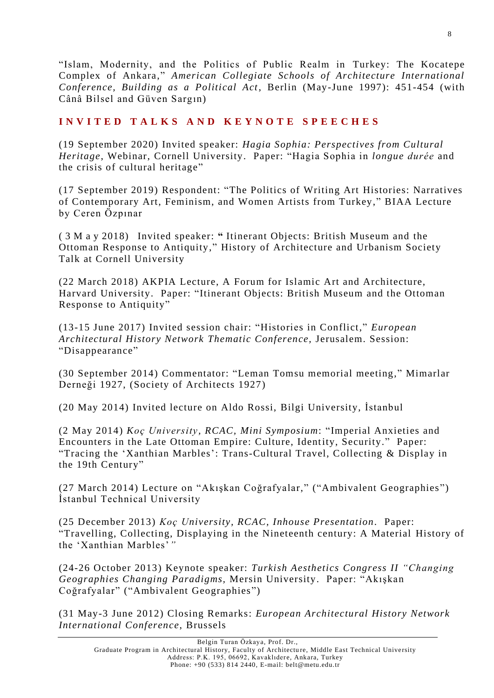"Islam, Modernity, and the Politics of Public Realm in Turkey: The Kocatepe Complex of Ankara," *American Collegiate Schools of Architecture International Conference, Building as a Political Act*, Berlin (May-June 1997): 451-454 (with Cânâ Bilsel and Güven Sargın)

## **I N V I T E D T A L K S A N D K E Y N O T E S P E E C H E S**

(19 September 2020) Invited speaker: *Hagia Sophia: Perspectives from Cultural Heritage*, Webinar, Cornell University. Paper: "Hagia Sophia in *longue durée* and the crisis of cultural heritage"

(17 September 2019) Respondent: "The Politics of Writing Art Histories: Narratives of Contemporary Art, Feminism, and Women Artists from Turkey," BIAA Lecture by Ceren Özpınar

( 3 M a y 2018) Invited speaker: **"** Itinerant Objects: British Museum and the Ottoman Response to Antiquity," History of Architecture and Urbanism Society Talk at Cornell University

(22 March 2018) AKPIA Lecture, A Forum for Islamic Art and Architecture, Harvard University. Paper: "Itinerant Objects: British Museum and the Ottoman Response to Antiquity"

(13-15 June 2017) Invited session chair: "Histories in Conflict," *European Architectural History Network Thematic Conference,* Jerusalem. Session: "Disappearance"

(30 September 2014) Commentator: "Leman Tomsu memorial meeting," Mimarlar Derneği 1927, (Society of Architects 1927)

(20 May 2014) Invited lecture on Aldo Rossi, Bilgi University, İstanbul

(2 May 2014) *Koç University, RCAC, Mini Symposium*: "Imperial Anxieties and Encounters in the Late Ottoman Empire: Culture, Identity, Security." Paper: "Tracing the 'Xanthian Marbles': Trans-Cultural Travel, Collecting & Display in the 19th Century"

(27 March 2014) Lecture on "Akışkan Coğrafyalar," ("Ambivalent Geographies") İstanbul Technical University

(25 December 2013) *Koç University, RCAC, Inhouse Presentation.* Paper: "Travelling, Collecting, Displaying in the Nineteenth century: A Material History of the 'Xanthian Marbles'*"*

(24-26 October 2013) Keynote speaker: *Turkish Aesthetics Congress II "Changing Geographies Changing Paradigms,* Mersin University. Paper: "Akışkan Coğrafyalar" ("Ambivalent Geographies ")

(31 May-3 June 2012) Closing Remarks: *European Architectural History Network International Conference*, Brussels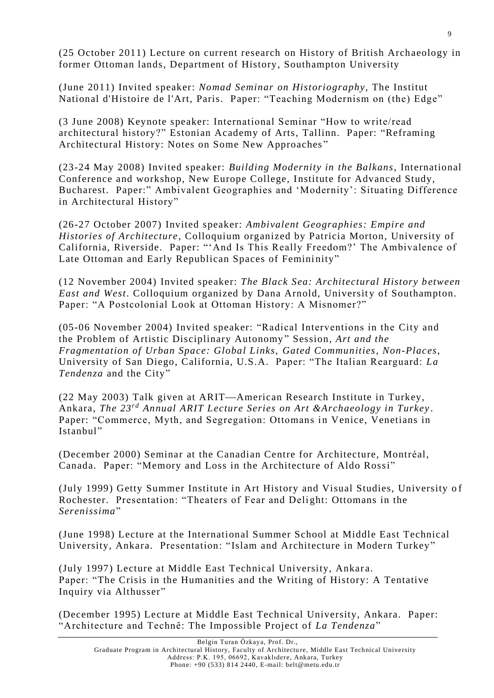(25 October 2011) Lecture on current research on History of British Archaeology in former Ottoman lands, Department of History, Southampton University

(June 2011) Invited speaker: *Nomad Seminar on Historiography*, The Institut National d'Histoire de l'Art, Paris. Paper: "Teaching Modernism on (the) Edge"

(3 June 2008) Keynote speaker: International Seminar "How to write/read architectural history?" Estonian Academy of Arts, Tallinn. Paper: "Reframing Architectural History: Notes on Some New Approaches "

(23-24 May 2008) Invited speaker: *Building Modernity in the Balkans*, International Conference and workshop, New Europe College, Institute for Advanced Study, Bucharest. Paper:" Ambivalent Geographies and 'Modernity': Situating Difference in Architectural History"

(26-27 October 2007) Invited speaker: *Ambivalent Geographies: Empire and Histories of Architecture*, Colloquium organized by Patricia Morton, University of California, Riverside. Paper: "'And Is This Really Freedom?' The Ambivalence of Late Ottoman and Early Republican Spaces of Femininity"

(12 November 2004) Invited speaker: *The Black Sea: Architectural History b etween East and West.* Colloquium organized by Dana Arnold, University of Southampton. Paper: "A Postcolonial Look at Ottoman History: A Misnomer?"

(05-06 November 2004) Invited speaker: "Radical Interventions in the City and the Problem of Artistic Disciplinary Autonomy " Session, *Art and the Fragmentation of Urban Space: Global Links, Gated Communities, Non-Places*, University of San Diego, California, U.S.A. Paper: "The Italian Rearguard: *La Tendenza* and the City"

(22 May 2003) Talk given at ARIT—American Research Institute in Turkey, Ankara, *The 23rd Annual ARIT Lecture Series on Art &Archaeology in Turkey* . Paper: "Commerce, Myth, and Segregation: Ottomans in Venice, Venetians in Istanbul"

(December 2000) Seminar at the Canadian Centre for Architecture, Montréal, Canada. Paper: "Memory and Loss in the Architecture of Aldo Rossi"

(July 1999) Getty Summer Institute in Art History and Visual Studies, University o f Rochester. Presentation: "Theaters of Fear and Delight: Ottomans in the *Serenissima*"

(June 1998) Lecture at the International Summer School at Middle East Technical University, Ankara. Presentation: "Islam and Architecture in Modern Turkey"

(July 1997) Lecture at Middle East Technical University, Ankar a. Paper: "The Crisis in the Humanities and the Writing of History: A Tentative Inquiry via Althusser"

(December 1995) Lecture at Middle East Technical University, Ankara. Paper: "Architecture and Technê: The Impossible Project of *La Tendenza*"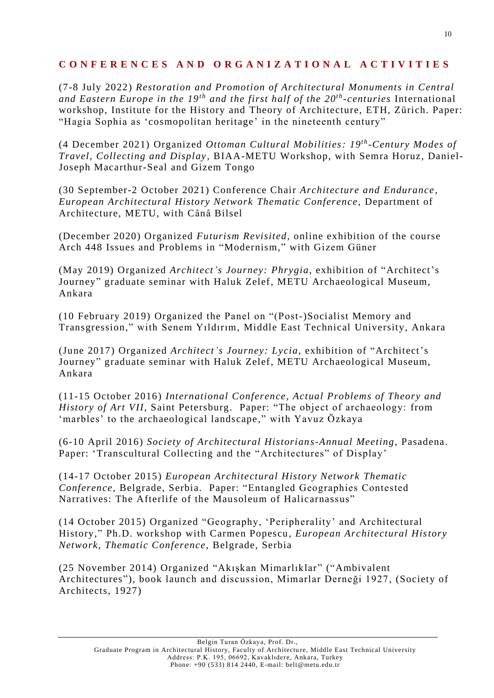## **C O N F E R E N C E S A N D O R G A N I Z A T I O N A L A C T I V I T I E S**

(7-8 July 2022) *Restoration and Promotion of Architectural Monuments in Central and Eastern Europe in the 19th and the first half of the 20 th -centuries* International workshop, Institute for the History and Theory of Architecture, ETH, Zürich. Paper: "Hagia Sophia as 'cosmopolitan heritage' in the nineteenth century"

(4 December 2021) Organized *Ottoman Cultural Mobilities: 19th -Century Modes of Travel, Collecting and Display ,* BIAA-METU Workshop, with Semra Horuz, Daniel-Joseph Macarthur-Seal and Gizem Tongo

(30 September-2 October 2021) Conference Chair *Architecture and Endurance , European Architectural History Network Thematic Conference,* Department of Architecture, METU, with Cânâ Bilsel

(December 2020) Organized *Futurism Revisited,* online exhibition of the course Arch 448 Issues and Problems in "Modernism," with Gizem Güner

(May 2019) Organized *Architect's Journey: Phrygia*, exhibition of "Architect's Journey" graduate seminar with Haluk Zelef, METU Archaeological Museum, Ankara

(10 February 2019) Organized the Panel on "(Post-)Socialist Memory and Transgression," with Senem Yıldırım, Middle East Technical University, Ankara

(June 2017) Organized *Architect's Journey: Lycia*, exhibition of "Architect's Journey" graduate seminar with Haluk Zelef, METU Archaeological Museum, Ankara

(11-15 October 2016) *International Conference, Actual Problems of Theory and History of Art VII*, Saint Petersburg. Paper: "The object of archaeology: from 'marbles' to the archaeological landscape ," with Yavuz Özkaya

(6-10 April 2016) *Society of Architectural Historians-Annual Meeting*, Pasadena. Paper: 'Transcultural Collecting and the "Architectures" of Display'

(14-17 October 2015) *European Architectural History Network Thematic Conference,* Belgrade, Serbia. Paper: "Entangled Geographies Contested Narratives: The Afterlife of the Mausoleum of Halicarnassus"

(14 October 2015) Organized "Geography, 'Peripherality' and Architectural History," Ph.D. workshop with Carmen Popescu, *European Architectural History Network, Thematic Conference,* Belgrade, Serbia

(25 November 2014) Organized "Akışkan Mimarlıklar" ("Ambivalent Architectures"), book launch and discussion, Mimarlar Derneği 1927, (Society of Architects, 1927)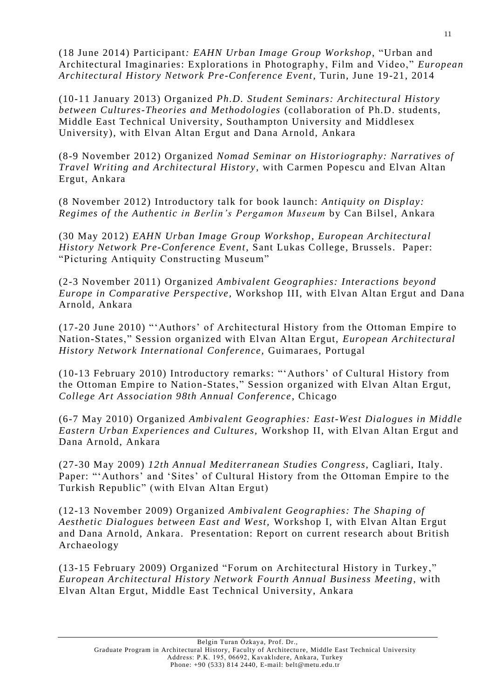(18 June 2014) Participant*: EAHN Urban Image Group Workshop*, "Urban and Architectural Imaginaries: Explorations in Photograph y, Film and Video," *European Architectural History Network Pre-Conference Event*, Turin, June 19-21, 2014

(10-11 January 2013) Organized *Ph.D. Student Seminars: Architectural History between Cultures-Theories and Methodologies* (collaboration of Ph.D. students, Middle East Technical University, Southampton University and Middlesex University), with Elvan Altan Ergut and Dana Arnold, Ankara

(8-9 November 2012) Organized *Nomad Seminar on Historiography: Narratives of Travel Writing and Architectural History*, with Carmen Popescu and Elvan Altan Ergut, Ankara

(8 November 2012) Introductory talk for book launch: *Antiquity on Display: Regimes of the Authentic in Berlin's Pergamon Museum* by Can Bilsel, Ankara

(30 May 2012) *EAHN Urban Image Group Workshop*, *European Architectural History Network Pre-Conference Event*, Sant Lukas College, Brussels. Paper: "Picturing Antiquity Constructing Museum"

(2-3 November 2011) Organized *Ambivalent Geographies: Interactions beyond Europe in Comparative Perspective,* Workshop III, with Elvan Altan Ergut and Dana Arnold, Ankara

(17-20 June 2010) "'Authors' of Architectural History from the Ottoman Empire to Nation-States," Session organized with Elvan Altan Ergut, *European Architectural History Network International Conference,* Guimaraes, Portugal

(10-13 February 2010) Introductory remarks: "'Authors' of Cultural History from the Ottoman Empire to Nation-States," Session organized with Elvan Altan Ergut, *College Art Association 98th Annual Conference*, Chicago

(6-7 May 2010) Organized *Ambivalent Geographies: East-West Dialogues in Middle Eastern Urban Experiences and Cultures,* Workshop II, with Elvan Altan Ergut and Dana Arnold, Ankara

(27-30 May 2009) *12th Annual Mediterranean Studies Congress*, Cagliari, Italy. Paper: "'Authors' and 'Sites' of Cultural History from the Ottoman Empire to the Turkish Republic" (with Elvan Altan Ergut)

(12-13 November 2009) Organized *Ambivalent Geographies: The Shaping of Aesthetic Dialogues between East and West,* Workshop I, with Elvan Altan Ergut and Dana Arnold, Ankara. Presentation: Report on current research about British Archaeology

(13-15 February 2009) Organized "Forum on Architectural History in Turkey," *European Architectural History Network Fourth Annual Business Meeting*, with Elvan Altan Ergut, Middle East Technical University, Ankara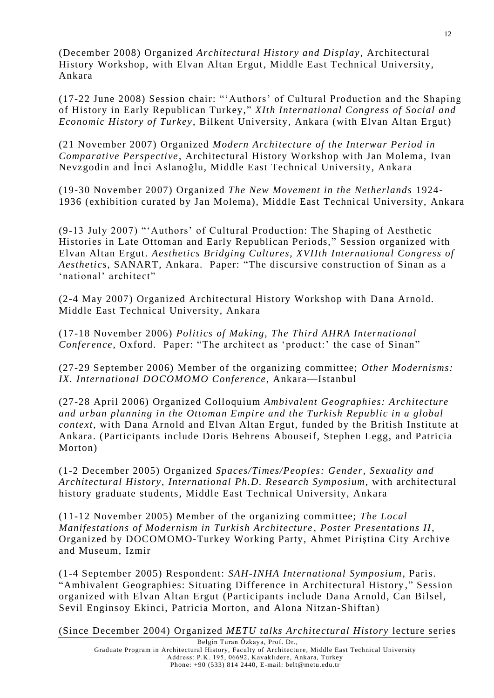(December 2008) Organized *Architectural History and Display*, Architectural History Workshop, with Elvan Altan Ergut, Middle East Technical University, Ankara

(17-22 June 2008) Session chair: "'Authors' of Cultural Production and the Shaping of History in Early Republican Turkey," *XIth International Congress of Social and Economic History of Turkey*, Bilkent University, Ankara (with Elvan Altan Ergut)

(21 November 2007) Organized *Modern Architecture of the Interwar Period in Comparative Perspective*, Architectural History Workshop with Jan Molema, Ivan Nevzgodin and İnci Aslanoğlu, Middle East Technical University, Ankara

(19-30 November 2007) Organized *The New Movement in the Netherlands* 1924- 1936 (exhibition curated by Jan Molema), Middle East Technical University, Ankara

(9-13 July 2007) "'Authors' of Cultural Production: The Shaping of Aesthetic Histories in Late Ottoman and Early Republican Periods," Session organized with Elvan Altan Ergut. *Aesthetics Bridging Cultures, XVIIth International Congress of Aesthetics,* SANART, Ankara. Paper: "The discursive construction of Sinan as a 'national' architect"

(2-4 May 2007) Organized Architectural History Workshop with Dana Arnold. Middle East Technical University, Ankara

(17-18 November 2006) *Politics of Making, The Third AHRA International Conference*, Oxford. Paper: "The architect as 'product:' the case of Sinan"

(27-29 September 2006) Member of the organizing committee; *Other Modernisms: IX. International DOCOMOMO Conference*, Ankara—Istanbul

(27-28 April 2006) Organized Colloquium *Ambivalent Geographies: Architecture and urban planning in the Ottoman Empire and the Turkish Republic in a global context*, with Dana Arnold and Elvan Altan Ergut, funded by the British Institute at Ankara. (Participants include Doris Behrens Abouseif, Stephen Legg, and Patricia Morton)

(1-2 December 2005) Organized *Spaces/Times/Peoples: Gender, Sexuality and Architectural History*, *International Ph.D. Research Symposium*, with architectural history graduate students, Middle East Technical University, Ankara

(11-12 November 2005) Member of the organizing committee; *The Local Manifestations of Modernism in Turkish Architecture , Poster Presentations II*, Organized by DOCOMOMO-Turkey Working Party, Ahmet Piriştina City Archive and Museum, Izmir

(1-4 September 2005) Respondent: *SAH-INHA International Symposium*, Paris. "Ambivalent Geographies: Situating Difference in Architectural History ," Session organized with Elvan Altan Ergut (Participants include Dana Arnold, Can Bilsel, Sevil Enginsoy Ekinci, Patricia Morton, and Alona Nitzan-Shiftan)

(Since December 2004) Organized *METU talks Architectural History* lecture series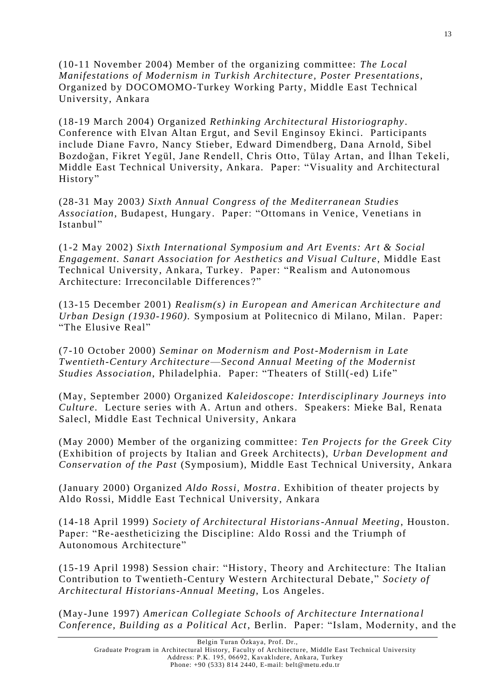(10-11 November 2004) Member of the organizing committee: *The Local Manifestations of Modernism in Turkish Architecture, Poster Presentations*, Organized by DOCOMOMO-Turkey Working Party, Middle East Technical University, Ankara

(18-19 March 2004) Organized *Rethinking Architectural Historiography .* Conference with Elvan Altan Ergut, and Sevil Enginsoy Ekinci. Participants include Diane Favro, Nancy Stieber, Edward Dimendberg, Dana Arnold, Sibel Bozdoğan, Fikret Yegül, Jane Rendell, Chris Otto, Tülay Artan, and İlhan Tekeli, Middle East Technical University, Ankara. Paper: "Visuality and Architectural History"

(28-31 May 2003*) Sixth Annual Congress of the Mediterranean Studies Association*, Budapest, Hungary. Paper: "Ottomans in Venice, Venetians in Istanbul"

(1-2 May 2002) *Sixth International Symposium and Art Events: Art & Social Engagement. Sanart Association for Aesthetics and Visual Culture*, Middle East Technical University, Ankara, Turkey. Paper: "Realism and Autonomous Architecture: Irreconcilable Differences ?"

(13-15 December 2001) *Realism(s) in European and Ameri can Architecture and Urban Design (1930-1960).* Symposium at Politecnico di Milano, Milan. Paper: "The Elusive Real"

(7-10 October 2000) *Seminar on Modernism and Post-Modernism in Late Twentieth-Century Architecture*—*Second Annual Meeting of the Modernist Studies Association*, Philadelphia. Paper: "Theaters of Still(-ed) Life"

(May, September 2000) Organized *Kaleidoscope: Interdisciplinary Journeys into Culture.* Lecture series with A. Artun and others. Speakers: Mieke Bal, Renata Salecl, Middle East Technical University, Ankara

(May 2000) Member of the organizing committee: *Ten Projects for the Greek City* (Exhibition of projects by Italian and Greek Architects), *Urban Development and Conservation of the Past* (Symposium), Middle East Technical University, Ankara

(January 2000) Organized *Aldo Rossi, Mostra*. Exhibition of theater projects by Aldo Rossi, Middle East Technical University, Ankara

(14-18 April 1999) *Society of Architectural Historians-Annual Meeting*, Houston. Paper: "Re-aestheticizing the Discipline: Aldo Rossi and the Triumph of Autonomous Architecture"

(15-19 April 1998) Session chair: "History, Theory and Architecture: The Italian Contribution to Twentieth-Century Western Architectural Debate," *Society of Architectural Historians-Annual Meeting*, Los Angeles.

(May-June 1997) *American Collegiate Schools of Architecture Internationa l Conference, Building as a Political Act*, Berlin. Paper: "Islam, Modernity, and the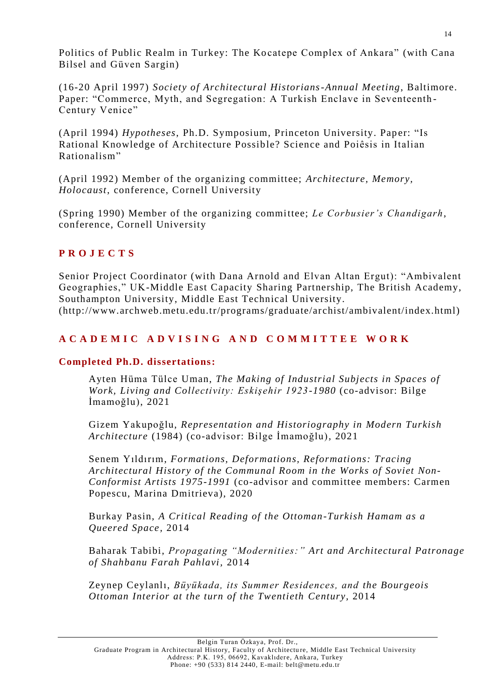Politics of Public Realm in Turkey: The Kocatepe Complex of Ankara" (with Cana Bilsel and Güven Sargin)

(16-20 April 1997) *Society of Architectural Historians-Annual Meeting*, Baltimore. Paper: "Commerce, Myth, and Segregation: A Turkish Enclave in Seventeenth - Century Venice"

(April 1994) *Hypotheses*, Ph.D. Symposium, Princeton University. Paper: "Is Rational Knowledge of Architecture Possible? Science and Poiêsis in Italian Rationalism"

(April 1992) Member of the organizing committee; *Architecture, Memory, Holocaust*, conference, Cornell University

(Spring 1990) Member of the organizing committee; *Le Corbusier's Chandigarh*, conference, Cornell University

### **P R O J E C T S**

Senior Project Coordinator (with Dana Arnold and Elvan Altan Ergut): "Ambivalent Geographies," UK-Middle East Capacity Sharing Partnership, The British Academy, Southampton University, Middle East Technical University.

(http://www.archweb.metu.edu.tr/programs/graduate/archist/ambivalent/index.html)

# **A C A D E M I C A D V I S I N G A N D C O M M I T T E E W O R K**

### **Completed Ph.D. dissertations:**

Ayten Hüma Tülce Uman, *The Making of Industrial Subjects in Spaces of Work, Living and Collectivity: Eskişehir 1923-1980* (co-advisor: Bilge İmamoğlu), 2021

Gizem Yakupoğlu, *Representation and Historiography in Modern Turkish Architecture* (1984) (co-advisor: Bilge İmamoğlu), 2021

Senem Yıldırım, *Formations, Deformations, Reformations: Tracing Architectural History of the Communal Room in the Works of Soviet Non-Conformist Artists 1975-1991* (co-advisor and committee members: Carmen Popescu, Marina Dmitrieva), 2020

Burkay Pasin, *A Critical Reading of the Ottoman-Turkish Hamam as a Queered Space,* 2014

Baharak Tabibi, *Propagating "Modernities:" Art and Architectural Patronage of Shahbanu Farah Pahlavi,* 2014

Zeynep Ceylanlı, *Büyükada, its Summer Residences, and the Bourgeois Ottoman Interior at the turn of the Twentieth Century,* 2014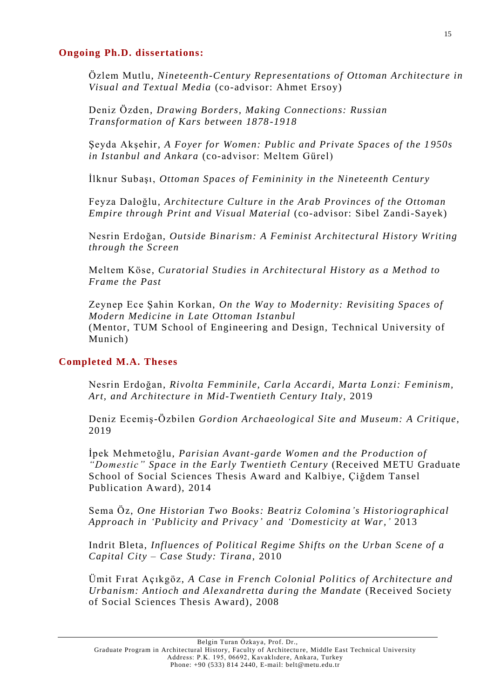#### **Ongoing Ph.D. dissertations:**

Özlem Mutlu, *Nineteenth-Century Representations of Ottoman Architecture in Visual and Textual Media* (co-advisor: Ahmet Ersoy)

Deniz Özden, *Drawing Borders, Making Connections: Russian Transformation of Kars between 1878 -1918*

Şeyda Akşehir, *A Foyer for Women: Public and Private Spaces of the 1 950s in Istanbul and Ankara* (co-advisor: Meltem Gürel)

İlknur Subaşı, *Ottoman Spaces of Femininity in the Nineteenth Century*

Feyza Daloğlu, *Architecture Culture in the Arab Provinces of the Ottoman Empire through Print and Visual Material* (co-advisor: Sibel Zandi-Sayek)

Nesrin Erdoğan, *Outside Binarism: A Feminist Architectural History Writing through the Screen*

Meltem Köse, *Curatorial Studies in Architectural History as a Method to Frame the Past*

Zeynep Ece Şahin Korkan, *On the Way to Modernity: Revisiting Spaces of Modern Medicine in Late Ottoman Istanbul* (Mentor, TUM School of Engineering and Design, Technical University of Munich)

#### **Completed M.A. Theses**

Nesrin Erdoğan, *Rivolta Femminile, Carla Accardi, Marta Lonzi: Feminism, Art, and Architecture in Mid-Twentieth Century Italy*, 2019

Deniz Ecemiş-Özbilen *Gordion Archaeological Site and Museum: A Critique,*  2019

İpek Mehmetoğlu, *Parisian Avant-garde Women and the Production of "Domestic" Space in the Early Twentieth Century* (Received METU Graduate School of Social Sciences Thesis Award and Kalbiye, Çiğdem Tansel Publication Award), 2014

Sema Öz, *One Historian Two Books: Beatriz Colomina's Historiographical Approach in 'Publicity and Privacy' and 'Domesticity at War,'* 2013

Indrit Bleta, *Influences of Political Regime Shifts on the Urban Scene of a Capital City – Case Study: Tirana*, 2010

Ümit Fırat Açıkgöz, *A Case in French Colonial Politics of Architecture and Urbanism: Antioch and Alexandretta during the Mandate* (Received Society of Social Sciences Thesis Award), 2008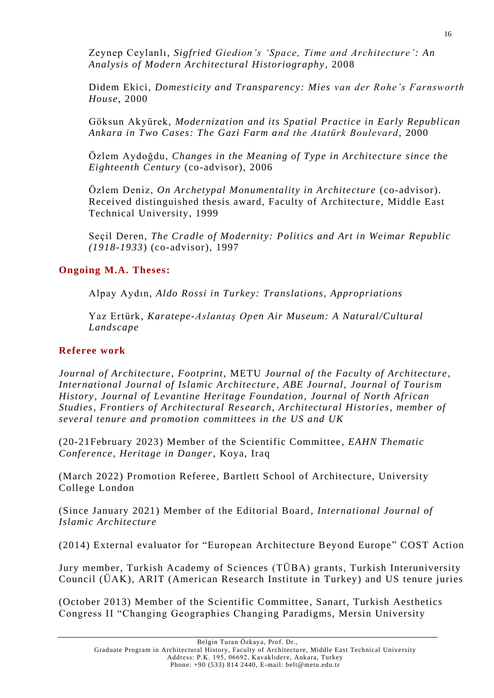Zeynep Ceylanlı, *Sigfried Giedion's 'Space, Time and Architecture ': An Analysis of Modern Architectural Historiography*, 2008

Didem Ekici, *Domesticity and Transparency: Mies van der Rohe's Farnsworth House*, 2000

Göksun Akyürek, *Modernization and its Spatial Practice in Early Republican Ankara in Two Cases: The Gazi Farm and the Atatürk Boulevard*, 2000

Özlem Aydoğdu, *Changes in the Meaning of Type in Architecture since the Eighteenth Century* (co-advisor), 2006

Özlem Deniz, *On Archetypal Monumentality in Architecture* (co-advisor). Received distinguished thesis award, Faculty of Architecture, Middle East Technical University, 1999

Seçil Deren, *The Cradle of Modernity: Politics and Art in Weimar Republic (1918-1933*) (co-advisor), 1997

## **Ongoing M.A. Theses:**

Alpay Aydın, *Aldo Rossi in Turkey: Translations, Appropriations* 

Yaz Ertürk, *Karatepe-Aslantaş Open Air Museum: A Natural/Cultural Landscape* 

## **Referee work**

*Journal of Architecture*, *Footprint*, METU *Journal of the Faculty of Architecture*, *International Journal of Islamic Architecture, ABE Journal, Journal of Tourism History, Journal of Levantine Heritage Foundation, Journal of North African Studies, Frontiers of Architectural Res earch, Architectural Histories, member of several tenure and promotion committees in the US and UK*

(20-21February 2023) Member of the Scientific Committee, *EAHN Thematic Conference, Heritage in Danger*, Koya, Iraq

(March 2022) Promotion Referee , Bartlett School of Architecture, University College London

(Since January 2021) Member of the Editorial Board, *International Journal of Islamic Architecture*

(2014) External evaluator for "European Architecture Beyond Europe" COST Action

Jury member, Turkish Academy of Sciences (TÜBA) grants, Turkish Interuniversity Council (ÜAK), ARIT (American Research Institute in Turkey) and US tenure juries

(October 2013) Member of the Scientific Committee, Sanart, Turkish Aesthetics Congress II "Changing Geographies Changing Paradigms, Mersin University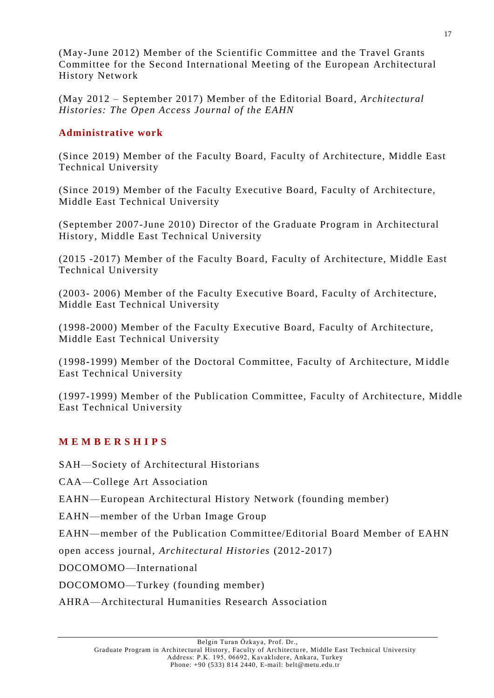(May-June 2012) Member of the Scientific Committee and the Travel Grants Committee for the Second International Meeting of the European Architectural History Network

(May 2012 – September 2017) Member of the Editorial Board, *Architectural Histories: The Open Access Journal of the EAHN* 

## **Administrative work**

(Since 2019) Member of the Faculty Board, Faculty of Architecture, Middle East Technical University

(Since 2019) Member of the Faculty Executive Board, Faculty of Architecture, Middle East Technical University

(September 2007-June 2010) Director of the Graduate Program in Architectural History, Middle East Technical University

(2015 -2017) Member of the Faculty Board, Faculty of Architecture, Middle East Technical University

(2003- 2006) Member of the Faculty Executive Board, Faculty of Arch itecture, Middle East Technical University

(1998-2000) Member of the Faculty Executive Board, Faculty of Architecture, Middle East Technical University

(1998-1999) Member of the Doctoral Committee, Faculty of Architecture, Middle East Technical University

(1997-1999) Member of the Publication Committee, Faculty of Architecture, Middle East Technical University

# **M E M B E R S H I P S**

SAH—Society of Architectural Historians

CAA—College Art Association

EAHN—European Architectural History Network (founding member)

EAHN—member of the Urban Image Group

EAHN—member of the Publication Committee/Editorial Board Member of EAHN

open access journal, *Architectural Histories* (2012-2017)

DOCOMOMO—International

DOCOMOMO—Turkey (founding member)

AHRA—Architectural Humanities Research Association